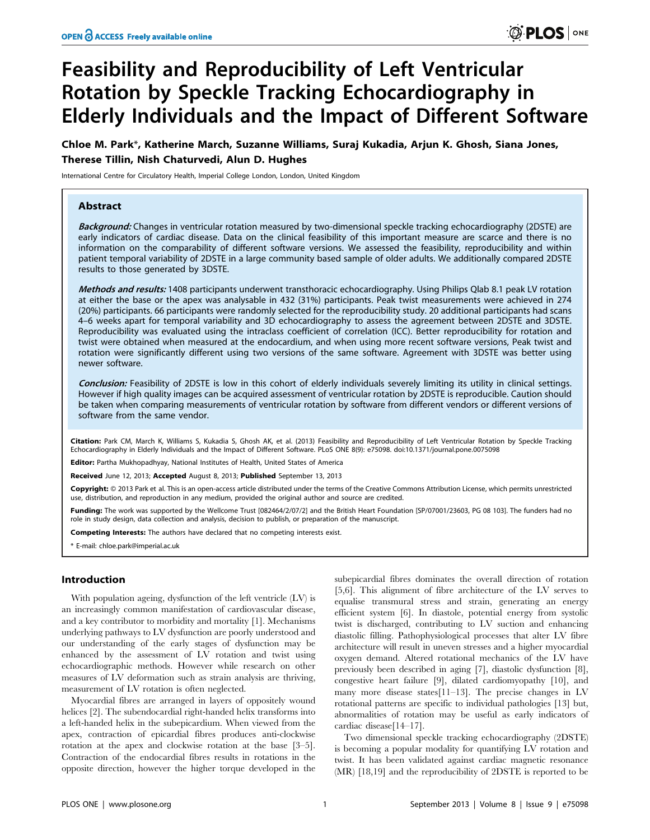# Feasibility and Reproducibility of Left Ventricular Rotation by Speckle Tracking Echocardiography in Elderly Individuals and the Impact of Different Software

Chloe M. Park\*, Katherine March, Suzanne Williams, Suraj Kukadia, Arjun K. Ghosh, Siana Jones, Therese Tillin, Nish Chaturvedi, Alun D. Hughes

International Centre for Circulatory Health, Imperial College London, London, United Kingdom

## Abstract

Background: Changes in ventricular rotation measured by two-dimensional speckle tracking echocardiography (2DSTE) are early indicators of cardiac disease. Data on the clinical feasibility of this important measure are scarce and there is no information on the comparability of different software versions. We assessed the feasibility, reproducibility and within patient temporal variability of 2DSTE in a large community based sample of older adults. We additionally compared 2DSTE results to those generated by 3DSTE.

Methods and results: 1408 participants underwent transthoracic echocardiography. Using Philips Qlab 8.1 peak LV rotation at either the base or the apex was analysable in 432 (31%) participants. Peak twist measurements were achieved in 274 (20%) participants. 66 participants were randomly selected for the reproducibility study. 20 additional participants had scans 4–6 weeks apart for temporal variability and 3D echocardiography to assess the agreement between 2DSTE and 3DSTE. Reproducibility was evaluated using the intraclass coefficient of correlation (ICC). Better reproducibility for rotation and twist were obtained when measured at the endocardium, and when using more recent software versions, Peak twist and rotation were significantly different using two versions of the same software. Agreement with 3DSTE was better using newer software.

Conclusion: Feasibility of 2DSTE is low in this cohort of elderly individuals severely limiting its utility in clinical settings. However if high quality images can be acquired assessment of ventricular rotation by 2DSTE is reproducible. Caution should be taken when comparing measurements of ventricular rotation by software from different vendors or different versions of software from the same vendor.

Citation: Park CM, March K, Williams S, Kukadia S, Ghosh AK, et al. (2013) Feasibility and Reproducibility of Left Ventricular Rotation by Speckle Tracking Echocardiography in Elderly Individuals and the Impact of Different Software. PLoS ONE 8(9): e75098. doi:10.1371/journal.pone.0075098

Editor: Partha Mukhopadhyay, National Institutes of Health, United States of America

Received June 12, 2013; Accepted August 8, 2013; Published September 13, 2013

Copyright:  $\circ$  2013 Park et al. This is an open-access article distributed under the terms of the Creative Commons Attribution License, which permits unrestricted use, distribution, and reproduction in any medium, provided the original author and source are credited.

Funding: The work was supported by the Wellcome Trust [082464/2/07/2] and the British Heart Foundation [SP/07001/23603, PG 08 103]. The funders had no role in study design, data collection and analysis, decision to publish, or preparation of the manuscript.

**Competing Interests:** The authors have declared that no competing interests exist.

\* E-mail: chloe.park@imperial.ac.uk

# Introduction

With population ageing, dysfunction of the left ventricle (LV) is an increasingly common manifestation of cardiovascular disease, and a key contributor to morbidity and mortality [1]. Mechanisms underlying pathways to LV dysfunction are poorly understood and our understanding of the early stages of dysfunction may be enhanced by the assessment of LV rotation and twist using echocardiographic methods. However while research on other measures of LV deformation such as strain analysis are thriving, measurement of LV rotation is often neglected.

Myocardial fibres are arranged in layers of oppositely wound helices [2]. The subendocardial right-handed helix transforms into a left-handed helix in the subepicardium. When viewed from the apex, contraction of epicardial fibres produces anti-clockwise rotation at the apex and clockwise rotation at the base [3–5]. Contraction of the endocardial fibres results in rotations in the opposite direction, however the higher torque developed in the

subepicardial fibres dominates the overall direction of rotation [5,6]. This alignment of fibre architecture of the LV serves to equalise transmural stress and strain, generating an energy efficient system [6]. In diastole, potential energy from systolic twist is discharged, contributing to LV suction and enhancing diastolic filling. Pathophysiological processes that alter LV fibre architecture will result in uneven stresses and a higher myocardial oxygen demand. Altered rotational mechanics of the LV have previously been described in aging [7], diastolic dysfunction [8], congestive heart failure [9], dilated cardiomyopathy [10], and many more disease states[11–13]. The precise changes in LV rotational patterns are specific to individual pathologies [13] but, abnormalities of rotation may be useful as early indicators of cardiac disease[14–17].

Two dimensional speckle tracking echocardiography (2DSTE) is becoming a popular modality for quantifying LV rotation and twist. It has been validated against cardiac magnetic resonance (MR) [18,19] and the reproducibility of 2DSTE is reported to be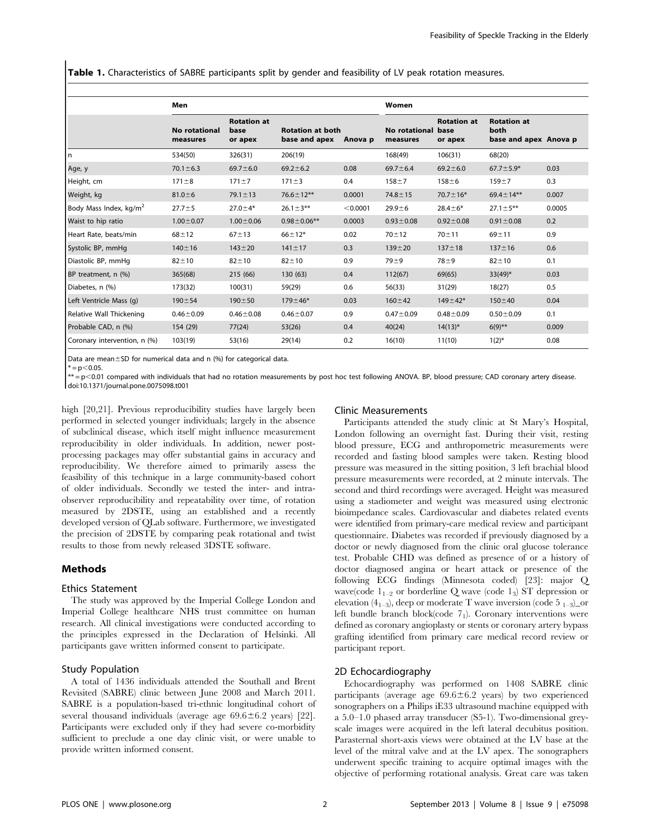Table 1. Characteristics of SABRE participants split by gender and feasibility of LV peak rotation measures.

|                                    | Men                              |                                       |                                          | Women    |                           |                                       |                                                     |        |
|------------------------------------|----------------------------------|---------------------------------------|------------------------------------------|----------|---------------------------|---------------------------------------|-----------------------------------------------------|--------|
|                                    | <b>No rotational</b><br>measures | <b>Rotation at</b><br>base<br>or apex | <b>Rotation at both</b><br>base and apex | Anova p  | No rotational<br>measures | <b>Rotation at</b><br>base<br>or apex | <b>Rotation at</b><br>both<br>base and apex Anova p |        |
| l n                                | 534(50)                          | 326(31)                               | 206(19)                                  |          | 168(49)                   | 106(31)                               | 68(20)                                              |        |
| Age, y                             | $70.1 \pm 6.3$                   | $69.7 \pm 6.0$                        | $69.2 \pm 6.2$                           | 0.08     | $69.7 \pm 6.4$            | $69.2 \pm 6.0$                        | $67.7 \pm 5.9*$                                     | 0.03   |
| Height, cm                         | $171 \pm 8$                      | $171 \pm 7$                           | $171 \pm 3$                              | 0.4      | $158 + 7$                 | $158 + 6$                             | $159 + 7$                                           | 0.3    |
| Weight, kg                         | $81.0 \pm 6$                     | $79.1 \pm 13$                         | $76.6 \pm 12***$                         | 0.0001   | $74.8 \pm 15$             | $70.7 \pm 16*$                        | $69.4 \pm 14***$                                    | 0.007  |
| Body Mass Index, kg/m <sup>2</sup> | $27.7 + 5$                       | $27.0 + 4*$                           | $26.1 \pm 3**$                           | < 0.0001 | $29.9 + 6$                | $28.4 \pm 6*$                         | $27.1 \pm 5**$                                      | 0.0005 |
| Waist to hip ratio                 | $1.00 \pm 0.07$                  | $1.00 \pm 0.06$                       | $0.98 \pm 0.06$ **                       | 0.0003   | $0.93 \pm 0.08$           | $0.92 \pm 0.08$                       | $0.91 \pm 0.08$                                     | 0.2    |
| Heart Rate, beats/min              | $68 + 12$                        | $67 + 13$                             | $66 + 12*$                               | 0.02     | $70 + 12$                 | $70 + 11$                             | $69 + 11$                                           | 0.9    |
| Systolic BP, mmHg                  | $140 \pm 16$                     | $143 + 20$                            | $141 \pm 17$                             | 0.3      | $139 + 20$                | $137 + 18$                            | $137 + 16$                                          | 0.6    |
| Diastolic BP, mmHq                 | $82 + 10$                        | $82 + 10$                             | $82 + 10$                                | 0.9      | $79 + 9$                  | $78 + 9$                              | $82 + 10$                                           | 0.1    |
| BP treatment, n (%)                | 365(68)                          | 215 (66)                              | 130 (63)                                 | 0.4      | 112(67)                   | 69(65)                                | $33(49)$ *                                          | 0.03   |
| Diabetes, n (%)                    | 173(32)                          | 100(31)                               | 59(29)                                   | 0.6      | 56(33)                    | 31(29)                                | 18(27)                                              | 0.5    |
| Left Ventricle Mass (q)            | $190 + 54$                       | $190 + 50$                            | $179 + 46*$                              | 0.03     | $160 + 42$                | $149 \pm 42*$                         | $150 + 40$                                          | 0.04   |
| Relative Wall Thickening           | $0.46 \pm 0.09$                  | $0.46 \pm 0.08$                       | $0.46 \pm 0.07$                          | 0.9      | $0.47 \pm 0.09$           | $0.48 \pm 0.09$                       | $0.50 \pm 0.09$                                     | 0.1    |
| Probable CAD, n (%)                | 154 (29)                         | 77(24)                                | 53(26)                                   | 0.4      | 40(24)                    | $14(13)*$                             | $6(9)$ **                                           | 0.009  |
| Coronary intervention, n (%)       | 103(19)                          | 53(16)                                | 29(14)                                   | 0.2      | 16(10)                    | 11(10)                                | $1(2)^{*}$                                          | 0.08   |

Data are mean $\pm$ SD for numerical data and n (%) for categorical data.

\*\* = p<0.01 compared with individuals that had no rotation measurements by post hoc test following ANOVA. BP, blood pressure; CAD coronary artery disease. doi:10.1371/journal.pone.0075098.t001

high [20,21]. Previous reproducibility studies have largely been performed in selected younger individuals; largely in the absence of subclinical disease, which itself might influence measurement reproducibility in older individuals. In addition, newer postprocessing packages may offer substantial gains in accuracy and reproducibility. We therefore aimed to primarily assess the feasibility of this technique in a large community-based cohort of older individuals. Secondly we tested the inter- and intraobserver reproducibility and repeatability over time, of rotation measured by 2DSTE, using an established and a recently developed version of QLab software. Furthermore, we investigated the precision of 2DSTE by comparing peak rotational and twist results to those from newly released 3DSTE software.

# Methods

#### Ethics Statement

The study was approved by the Imperial College London and Imperial College healthcare NHS trust committee on human research. All clinical investigations were conducted according to the principles expressed in the Declaration of Helsinki. All participants gave written informed consent to participate.

#### Study Population

A total of 1436 individuals attended the Southall and Brent Revisited (SABRE) clinic between June 2008 and March 2011. SABRE is a population-based tri-ethnic longitudinal cohort of several thousand individuals (average age  $69.6 \pm 6.2$  years) [22]. Participants were excluded only if they had severe co-morbidity sufficient to preclude a one day clinic visit, or were unable to provide written informed consent.

## Clinic Measurements

Participants attended the study clinic at St Mary's Hospital, London following an overnight fast. During their visit, resting blood pressure, ECG and anthropometric measurements were recorded and fasting blood samples were taken. Resting blood pressure was measured in the sitting position, 3 left brachial blood pressure measurements were recorded, at 2 minute intervals. The second and third recordings were averaged. Height was measured using a stadiometer and weight was measured using electronic bioimpedance scales. Cardiovascular and diabetes related events were identified from primary-care medical review and participant questionnaire. Diabetes was recorded if previously diagnosed by a doctor or newly diagnosed from the clinic oral glucose tolerance test. Probable CHD was defined as presence of or a history of doctor diagnosed angina or heart attack or presence of the following ECG findings (Minnesota coded) [23]: major Q wave(code  $1_{1-2}$  or borderline Q wave (code  $1_3$ ) ST depression or elevation (4<sub>1–3</sub>), deep or moderate T wave inversion (code 5<sub>1–3</sub>) or left bundle branch block(code 71). Coronary interventions were defined as coronary angioplasty or stents or coronary artery bypass grafting identified from primary care medical record review or participant report.

# 2D Echocardiography

Echocardiography was performed on 1408 SABRE clinic participants (average age  $69.6 \pm 6.2$  years) by two experienced sonographers on a Philips iE33 ultrasound machine equipped with a 5.0–1.0 phased array transducer (S5-1). Two-dimensional greyscale images were acquired in the left lateral decubitus position. Parasternal short-axis views were obtained at the LV base at the level of the mitral valve and at the LV apex. The sonographers underwent specific training to acquire optimal images with the objective of performing rotational analysis. Great care was taken

 $* = p < 0.05$ .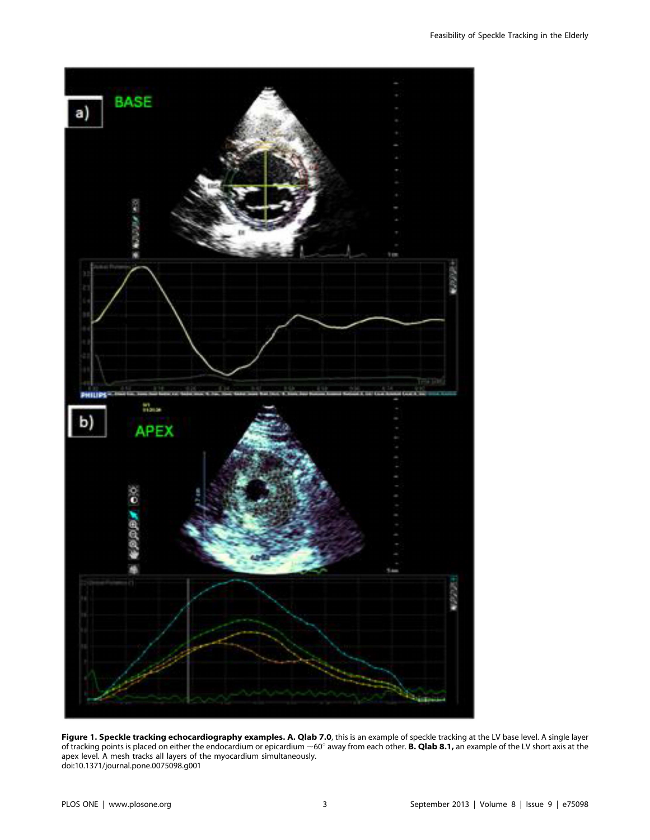

Figure 1. Speckle tracking echocardiography examples. A. Qlab 7.0, this is an example of speckle tracking at the LV base level. A single layer of tracking points is placed on either the endocardium or epicardium  $\sim$ 60 $^\circ$  away from each other. **B. Qlab 8.1,** an example of the LV short axis at the apex level. A mesh tracks all layers of the myocardium simultaneously. doi:10.1371/journal.pone.0075098.g001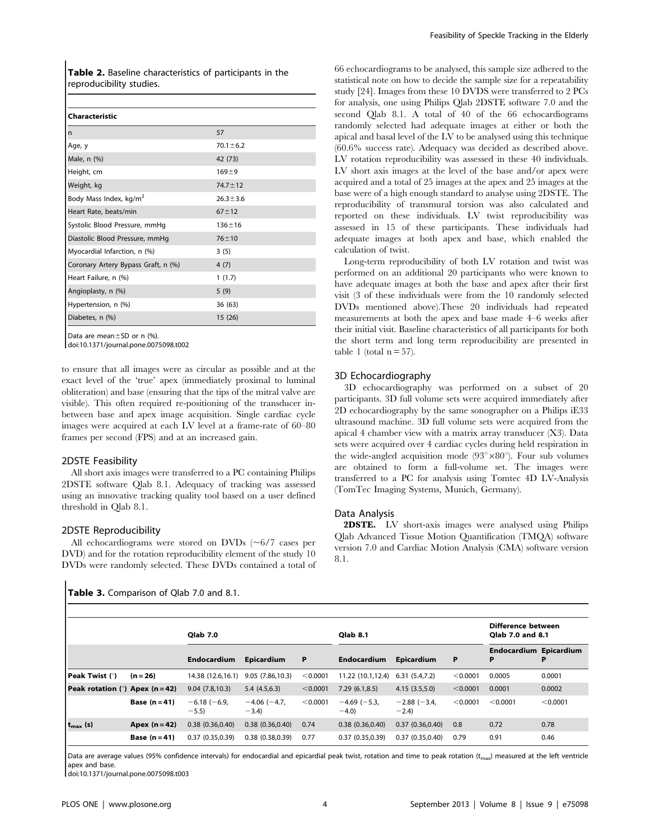Table 2. Baseline characteristics of participants in the reproducibility studies.

| Characteristic                      |                |
|-------------------------------------|----------------|
| n                                   | 57             |
| Age, y                              | $70.1 \pm 6.2$ |
| Male, n (%)                         | 42 (73)        |
| Height, cm                          | $169 + 9$      |
| Weight, kg                          | $74.7 \pm 12$  |
| Body Mass Index, kg/m <sup>2</sup>  | $26.3 \pm 3.6$ |
| Heart Rate, beats/min               | $67 + 12$      |
| Systolic Blood Pressure, mmHg       | $136 + 16$     |
| Diastolic Blood Pressure, mmHg      | $76 + 10$      |
| Myocardial Infarction, n (%)        | 3(5)           |
| Coronary Artery Bypass Graft, n (%) | 4(7)           |
| Heart Failure, n (%)                | 1(1.7)         |
| Angioplasty, n (%)                  | 5(9)           |
| Hypertension, n (%)                 | 36(63)         |
| Diabetes, n (%)                     | 15 (26)        |

Data are mean $\pm$ SD or n (%).

doi:10.1371/journal.pone.0075098.t002

to ensure that all images were as circular as possible and at the exact level of the 'true' apex (immediately proximal to luminal obliteration) and base (ensuring that the tips of the mitral valve are visible). This often required re-positioning of the transducer inbetween base and apex image acquisition. Single cardiac cycle images were acquired at each LV level at a frame-rate of 60–80 frames per second (FPS) and at an increased gain.

#### 2DSTE Feasibility

All short axis images were transferred to a PC containing Philips 2DSTE software Qlab 8.1. Adequacy of tracking was assessed using an innovative tracking quality tool based on a user defined threshold in Qlab 8.1.

#### 2DSTE Reproducibility

All echocardiograms were stored on DVDs  $(\sim 6/7$  cases per DVD) and for the rotation reproducibility element of the study 10 DVDs were randomly selected. These DVDs contained a total of

## Table 3. Comparison of Qlab 7.0 and 8.1.

66 echocardiograms to be analysed, this sample size adhered to the statistical note on how to decide the sample size for a repeatability study [24]. Images from these 10 DVDS were transferred to 2 PCs for analysis, one using Philips Qlab 2DSTE software 7.0 and the second Qlab 8.1. A total of 40 of the 66 echocardiograms randomly selected had adequate images at either or both the apical and basal level of the LV to be analysed using this technique (60.6% success rate). Adequacy was decided as described above. LV rotation reproducibility was assessed in these 40 individuals. LV short axis images at the level of the base and/or apex were acquired and a total of 25 images at the apex and 25 images at the base were of a high enough standard to analyse using 2DSTE. The reproducibility of transmural torsion was also calculated and reported on these individuals. LV twist reproducibility was assessed in 15 of these participants. These individuals had adequate images at both apex and base, which enabled the calculation of twist.

Long-term reproducibility of both LV rotation and twist was performed on an additional 20 participants who were known to have adequate images at both the base and apex after their first visit (3 of these individuals were from the 10 randomly selected DVDs mentioned above).These 20 individuals had repeated measurements at both the apex and base made 4–6 weeks after their initial visit. Baseline characteristics of all participants for both the short term and long term reproducibility are presented in table 1 (total  $n = 57$ ).

# 3D Echocardiography

3D echocardiography was performed on a subset of 20 participants. 3D full volume sets were acquired immediately after 2D echocardiography by the same sonographer on a Philips iE33 ultrasound machine. 3D full volume sets were acquired from the apical 4 chamber view with a matrix array transducer (X3). Data sets were acquired over 4 cardiac cycles during held respiration in the wide-angled acquisition mode  $(93^{\circ} \times 80^{\circ})$ . Four sub volumes are obtained to form a full-volume set. The images were transferred to a PC for analysis using Tomtec 4D LV-Analysis (TomTec Imaging Systems, Munich, Germany).

### Data Analysis

2DSTE. LV short-axis images were analysed using Philips Qlab Advanced Tissue Motion Quantification (TMQA) software version 7.0 and Cardiac Motion Analysis (CMA) software version 8.1.

|                                   |               | <b>Olab 7.0</b>          |                              |          | <b>Olab 8.1</b>          |                              |          | Difference between<br>Olab 7.0 and 8.1 |          |
|-----------------------------------|---------------|--------------------------|------------------------------|----------|--------------------------|------------------------------|----------|----------------------------------------|----------|
|                                   |               | <b>Endocardium</b>       | Epicardium                   | P        | <b>Endocardium</b>       | Epicardium                   | P        | <b>Endocardium Epicardium</b><br>P     | P        |
| Peak Twist (°)                    | $(n = 26)$    | 14.38 (12.6,16.1)        | 9.05(7.86,10.3)              | < 0.0001 | 11.22 (10.1.12.4)        | 6.31(5.4,7.2)                | < 0.0001 | 0.0005                                 | 0.0001   |
| Peak rotation $(°)$ Apex (n = 42) |               | 9.04(7.8, 10.3)          | 5.4(4.5,6.3)                 | < 0.0001 | 7.29(6.1, 8.5)           | 4.15(3.5.5.0)                | < 0.0001 | 0.0001                                 | 0.0002   |
|                                   | Base $(n=41)$ | $-6.18$ (-6.9,<br>$-5.5$ | $-4.06$ ( $-4.7$ )<br>$-3.4$ | < 0.0001 | $-4.69$ (-5.3,<br>$-4.0$ | $-2.88$ ( $-3.4$ )<br>$-2.4$ | < 0.0001 | < 0.0001                               | < 0.0001 |
| t <sub>max</sub> (s)              | Apex $(n=42)$ | 0.38(0.36, 0.40)         | 0.38(0.36, 0.40)             | 0.74     | 0.38(0.36, 0.40)         | 0.37(0.36, 0.40)             | 0.8      | 0.72                                   | 0.78     |
|                                   | Base $(n=41)$ | 0.37(0.35.0.39)          | 0.38(0.38.0.39)              | 0.77     | 0.37(0.35.0.39)          | 0.37(0.35.0.40)              | 0.79     | 0.91                                   | 0.46     |

Data are average values (95% confidence intervals) for endocardial and epicardial peak twist, rotation and time to peak rotation ( $t_{\text{max}}$ ) measured at the left ventricle apex and base.

doi:10.1371/journal.pone.0075098.t003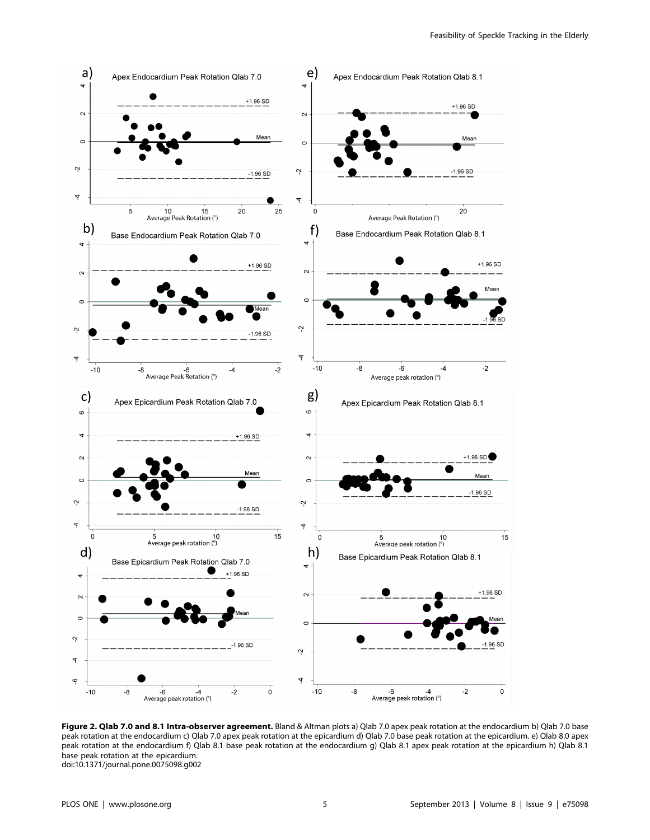

Figure 2. Qlab 7.0 and 8.1 Intra-observer agreement. Bland & Altman plots a) Qlab 7.0 apex peak rotation at the endocardium b) Qlab 7.0 base peak rotation at the endocardium c) Qlab 7.0 apex peak rotation at the epicardium d) Qlab 7.0 base peak rotation at the epicardium. e) Qlab 8.0 apex peak rotation at the endocardium f) Qlab 8.1 base peak rotation at the endocardium g) Qlab 8.1 apex peak rotation at the epicardium h) Qlab 8.1 base peak rotation at the epicardium. doi:10.1371/journal.pone.0075098.g002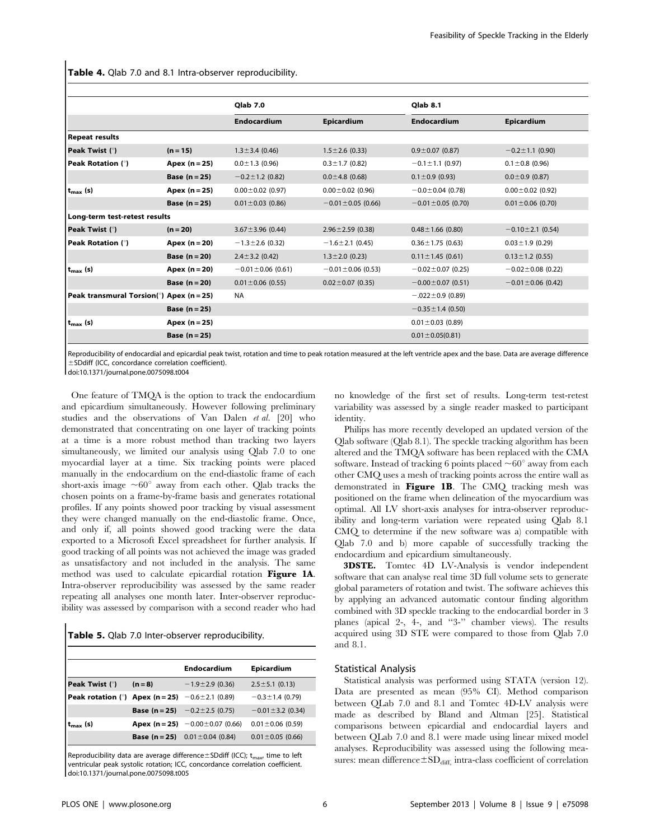Table 4. Qlab 7.0 and 8.1 Intra-observer reproducibility.

|                                          |                 | <b>Olab 7.0</b>         |                         | <b>Olab 8.1</b>         |                         |  |
|------------------------------------------|-----------------|-------------------------|-------------------------|-------------------------|-------------------------|--|
|                                          |                 | <b>Endocardium</b>      | Epicardium              | <b>Endocardium</b>      | Epicardium              |  |
| <b>Repeat results</b>                    |                 |                         |                         |                         |                         |  |
| <b>Peak Twist (°)</b>                    | $(n = 15)$      | $1.3 \pm 3.4$ (0.46)    | $1.5 \pm 2.6$ (0.33)    | $0.9 \pm 0.07$ (0.87)   | $-0.2 \pm 1.1$ (0.90)   |  |
| <b>Peak Rotation (°)</b>                 | Apex $(n=25)$   | $0.0 \pm 1.3$ (0.96)    | $0.3 \pm 1.7$ (0.82)    | $-0.1 \pm 1.1$ (0.97)   | $0.1 \pm 0.8$ (0.96)    |  |
|                                          | Base $(n=25)$   | $-0.2 \pm 1.2$ (0.82)   | $0.0 \pm 4.8$ (0.68)    | $0.1 \pm 0.9$ (0.93)    | $0.0 \pm 0.9$ (0.87)    |  |
| $t_{\rm max}$ (s)                        | Apex $(n=25)$   | $0.00 \pm 0.02$ (0.97)  | $0.00 \pm 0.02$ (0.96)  | $-0.0 \pm 0.04$ (0.78)  | $0.00 \pm 0.02$ (0.92)  |  |
|                                          | Base $(n = 25)$ | $0.01 \pm 0.03$ (0.86)  | $-0.01 \pm 0.05$ (0.66) | $-0.01 \pm 0.05$ (0.70) | $0.01 \pm 0.06$ (0.70)  |  |
| Long-term test-retest results            |                 |                         |                         |                         |                         |  |
| Peak Twist (°)                           | $(n = 20)$      | $3.67 \pm 3.96$ (0.44)  | $2.96 \pm 2.59$ (0.38)  | $0.48 \pm 1.66$ (0.80)  | $-0.10 \pm 2.1$ (0.54)  |  |
| <b>Peak Rotation (°)</b>                 | Apex $(n=20)$   | $-1.3 \pm 2.6$ (0.32)   | $-1.6 \pm 2.1$ (0.45)   | $0.36 \pm 1.75$ (0.63)  | $0.03 \pm 1.9$ (0.29)   |  |
|                                          | Base $(n=20)$   | $2.4 \pm 3.2$ (0.42)    | $1.3 \pm 2.0$ (0.23)    | $0.11 \pm 1.45$ (0.61)  | $0.13 \pm 1.2$ (0.55)   |  |
| $t_{\rm max}$ (s)                        | Apex $(n=20)$   | $-0.01 \pm 0.06$ (0.61) | $-0.01 \pm 0.06$ (0.53) | $-0.02 \pm 0.07$ (0.25) | $-0.02 \pm 0.08$ (0.22) |  |
|                                          | Base $(n = 20)$ | $0.01 \pm 0.06$ (0.55)  | $0.02 \pm 0.07$ (0.35)  | $-0.00 \pm 0.07$ (0.51) | $-0.01 \pm 0.06$ (0.42) |  |
| Peak transmural Torsion(°) Apex (n = 25) |                 | <b>NA</b>               |                         | $-.022 \pm 0.9$ (0.89)  |                         |  |
|                                          | Base $(n=25)$   |                         |                         | $-0.35 \pm 1.4$ (0.50)  |                         |  |
| $t_{\text{max}}$ (s)                     | Apex $(n=25)$   |                         |                         | $0.01 \pm 0.03$ (0.89)  |                         |  |
|                                          | Base $(n=25)$   |                         |                         | $0.01 \pm 0.05(0.81)$   |                         |  |

Reproducibility of endocardial and epicardial peak twist, rotation and time to peak rotation measured at the left ventricle apex and the base. Data are average difference  $\pm$ SDdiff (ICC, concordance correlation coefficient).

doi:10.1371/journal.pone.0075098.t004

One feature of TMQA is the option to track the endocardium and epicardium simultaneously. However following preliminary studies and the observations of Van Dalen et al. [20] who demonstrated that concentrating on one layer of tracking points at a time is a more robust method than tracking two layers simultaneously, we limited our analysis using Qlab 7.0 to one myocardial layer at a time. Six tracking points were placed manually in the endocardium on the end-diastolic frame of each short-axis image  $\sim 60^\circ$  away from each other. Qlab tracks the chosen points on a frame-by-frame basis and generates rotational profiles. If any points showed poor tracking by visual assessment they were changed manually on the end-diastolic frame. Once, and only if, all points showed good tracking were the data exported to a Microsoft Excel spreadsheet for further analysis. If good tracking of all points was not achieved the image was graded as unsatisfactory and not included in the analysis. The same method was used to calculate epicardial rotation Figure 1A. Intra-observer reproducibility was assessed by the same reader repeating all analyses one month later. Inter-observer reproducibility was assessed by comparison with a second reader who had

|  | Table 5. Qlab 7.0 Inter-observer reproducibility. |  |
|--|---------------------------------------------------|--|
|--|---------------------------------------------------|--|

|                                                              |         | <b>Endocardium</b>                           | Epicardium             |
|--------------------------------------------------------------|---------|----------------------------------------------|------------------------|
| Peak Twist (°)                                               | $(n=8)$ | $-1.9 \pm 2.9$ (0.36)                        | $2.5 \pm 5.1$ (0.13)   |
| <b>Peak rotation (°)</b> Apex (n = 25) $-0.6 \pm 2.1$ (0.89) |         |                                              | $-0.3 \pm 1.4$ (0.79)  |
|                                                              |         | <b>Base (n = 25)</b> $-0.2 \pm 2.5$ (0.75)   | $-0.01 \pm 3.2$ (0.34) |
| $t_{\rm max}$ (s)                                            |         | <b>Apex (n = 25)</b> $-0.00 \pm 0.07$ (0.66) | $0.01 \pm 0.06$ (0.59) |
|                                                              |         | <b>Base (n = 25)</b> $0.01 \pm 0.04$ (0.84)  | $0.01 \pm 0.05$ (0.66) |

Reproducibility data are average difference $\pm$ SDdiff (ICC); t<sub>max</sub>, time to left ventricular peak systolic rotation; ICC, concordance correlation coefficient. doi:10.1371/journal.pone.0075098.t005

no knowledge of the first set of results. Long-term test-retest variability was assessed by a single reader masked to participant identity.

Philips has more recently developed an updated version of the Qlab software (Qlab 8.1). The speckle tracking algorithm has been altered and the TMQA software has been replaced with the CMA software. Instead of tracking 6 points placed  $\sim 60^\circ$  away from each other CMQ uses a mesh of tracking points across the entire wall as demonstrated in Figure 1B. The CMQ tracking mesh was positioned on the frame when delineation of the myocardium was optimal. All LV short-axis analyses for intra-observer reproducibility and long-term variation were repeated using Qlab 8.1 CMQ to determine if the new software was a) compatible with Qlab 7.0 and b) more capable of successfully tracking the endocardium and epicardium simultaneously.

3DSTE. Tomtec 4D LV-Analysis is vendor independent software that can analyse real time 3D full volume sets to generate global parameters of rotation and twist. The software achieves this by applying an advanced automatic contour finding algorithm combined with 3D speckle tracking to the endocardial border in 3 planes (apical 2-, 4-, and ''3-'' chamber views). The results acquired using 3D STE were compared to those from Qlab 7.0 and 8.1.

## Statistical Analysis

Statistical analysis was performed using STATA (version 12). Data are presented as mean (95% CI). Method comparison between QLab 7.0 and 8.1 and Tomtec 4D-LV analysis were made as described by Bland and Altman [25]. Statistical comparisons between epicardial and endocardial layers and between QLab 7.0 and 8.1 were made using linear mixed model analyses. Reproducibility was assessed using the following measures: mean difference $\pm SD_{\text{diff}}$  intra-class coefficient of correlation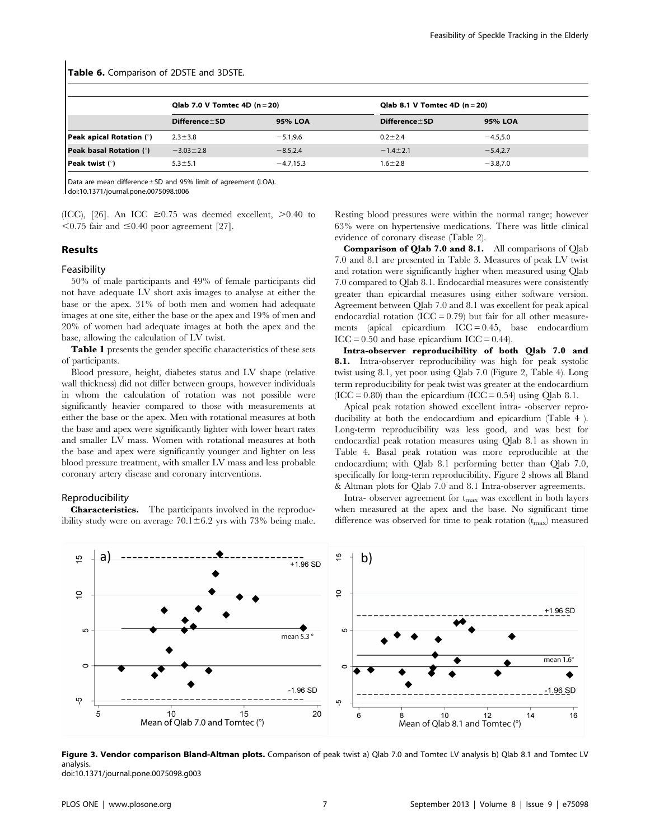#### Table 6. Comparison of 2DSTE and 3DSTE.

|                                 | Qlab 7.0 V Tomtec 4D $(n=20)$ |             |                     | Qlab 8.1 V Tomtec 4D $(n=20)$ |  |  |
|---------------------------------|-------------------------------|-------------|---------------------|-------------------------------|--|--|
|                                 | $Difference \pm SD$           | 95% LOA     | Difference $\pm$ SD | 95% LOA                       |  |  |
| <b>Peak apical Rotation (°)</b> | $2.3 \pm 3.8$                 | $-5.1.9.6$  | $0.2 + 2.4$         | $-4.5.5.0$                    |  |  |
| <b>Peak basal Rotation (°)</b>  | $-3.03 \pm 2.8$               | $-8.5.2.4$  | $-1.4 \pm 2.1$      | $-5.4.2.7$                    |  |  |
| <b>Peak twist</b> $(°)$         | $5.3 \pm 5.1$                 | $-4.7,15.3$ | $1.6 + 2.8$         | $-3.8,7.0$                    |  |  |

Data are mean difference $\pm$ SD and 95% limit of agreement (LOA). doi:10.1371/journal.pone.0075098.t006

(ICC), [26]. An ICC  $\geq 0.75$  was deemed excellent,  $> 0.40$  to  $<$  0.75 fair and  $\leq$  0.40 poor agreement [27].

# Results

## Feasibility

50% of male participants and 49% of female participants did not have adequate LV short axis images to analyse at either the base or the apex. 31% of both men and women had adequate images at one site, either the base or the apex and 19% of men and 20% of women had adequate images at both the apex and the base, allowing the calculation of LV twist.

**Table 1** presents the gender specific characteristics of these sets of participants.

Blood pressure, height, diabetes status and LV shape (relative wall thickness) did not differ between groups, however individuals in whom the calculation of rotation was not possible were significantly heavier compared to those with measurements at either the base or the apex. Men with rotational measures at both the base and apex were significantly lighter with lower heart rates and smaller LV mass. Women with rotational measures at both the base and apex were significantly younger and lighter on less blood pressure treatment, with smaller LV mass and less probable coronary artery disease and coronary interventions.

## Reproducibilit*y*

Characteristics. The participants involved in the reproducibility study were on average  $70.1 \pm 6.2$  yrs with 73% being male. Resting blood pressures were within the normal range; however 63% were on hypertensive medications. There was little clinical evidence of coronary disease (Table 2).

Comparison of Qlab 7.0 and 8.1. All comparisons of Qlab 7.0 and 8.1 are presented in Table 3. Measures of peak LV twist and rotation were significantly higher when measured using Qlab 7.0 compared to Qlab 8.1. Endocardial measures were consistently greater than epicardial measures using either software version. Agreement between Qlab 7.0 and 8.1 was excellent for peak apical endocardial rotation  $(ICC = 0.79)$  but fair for all other measurements (apical epicardium  $\text{ICC} = 0.45$ , base endocardium  $ICC = 0.50$  and base epicardium  $ICC = 0.44$ ).

Intra-observer reproducibility of both Qlab 7.0 and 8.1. Intra-observer reproducibility was high for peak systolic twist using 8.1, yet poor using Qlab 7.0 (Figure 2, Table 4). Long term reproducibility for peak twist was greater at the endocardium  $(ICC = 0.80)$  than the epicardium  $(ICC = 0.54)$  using Olab 8.1.

Apical peak rotation showed excellent intra- -observer reproducibility at both the endocardium and epicardium (Table 4 ). Long-term reproducibility was less good, and was best for endocardial peak rotation measures using Qlab 8.1 as shown in Table 4. Basal peak rotation was more reproducible at the endocardium; with Qlab 8.1 performing better than Qlab 7.0, specifically for long-term reproducibility. Figure 2 shows all Bland & Altman plots for Qlab 7.0 and 8.1 Intra-observer agreements.

Intra- observer agreement for  $t_{\text{max}}$  was excellent in both layers when measured at the apex and the base. No significant time difference was observed for time to peak rotation  $(t_{\text{max}})$  measured



Figure 3. Vendor comparison Bland-Altman plots. Comparison of peak twist a) Qlab 7.0 and Tomtec LV analysis b) Qlab 8.1 and Tomtec LV analysis. doi:10.1371/journal.pone.0075098.g003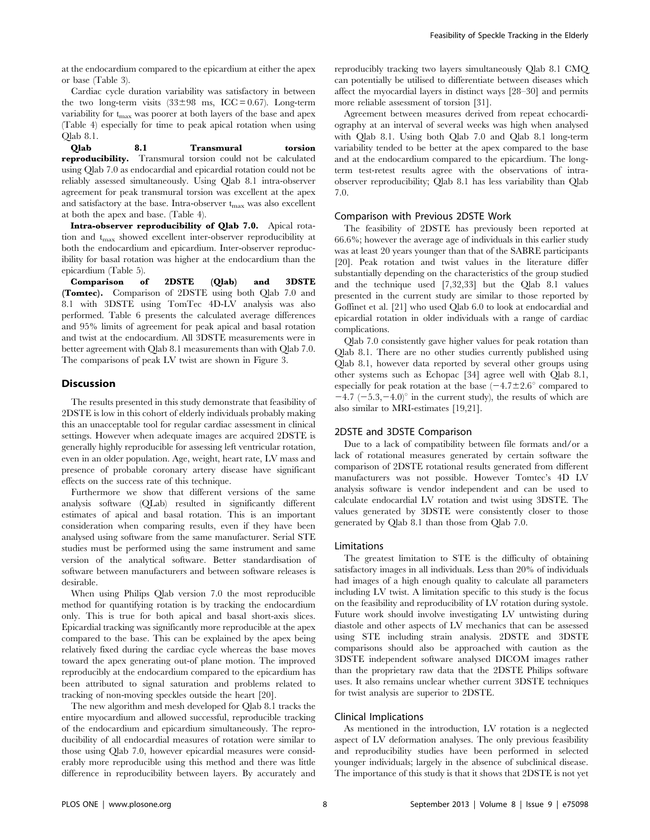at the endocardium compared to the epicardium at either the apex or base (Table 3).

Cardiac cycle duration variability was satisfactory in between the two long-term visits  $(33\pm98 \text{ ms}, \text{ICC}=0.67)$ . Long-term variability for  $t_{\text{max}}$  was poorer at both layers of the base and apex (Table 4) especially for time to peak apical rotation when using Qlab 8.1.

Qlab 8.1 Transmural torsion reproducibility. Transmural torsion could not be calculated using Qlab 7.0 as endocardial and epicardial rotation could not be reliably assessed simultaneously. Using Qlab 8.1 intra-observer agreement for peak transmural torsion was excellent at the apex and satisfactory at the base. Intra-observer  $t_{\text{max}}$  was also excellent at both the apex and base. (Table 4).

Intra-observer reproducibility of Qlab 7.0. Apical rotation and t<sub>max</sub> showed excellent inter-observer reproducibility at both the endocardium and epicardium. Inter-observer reproducibility for basal rotation was higher at the endocardium than the epicardium (Table 5).

Comparison of 2DSTE (Qlab) and 3DSTE (Tomtec). Comparison of 2DSTE using both Qlab 7.0 and 8.1 with 3DSTE using TomTec 4D-LV analysis was also performed. Table 6 presents the calculated average differences and 95% limits of agreement for peak apical and basal rotation and twist at the endocardium. All 3DSTE measurements were in better agreement with Qlab 8.1 measurements than with Qlab 7.0. The comparisons of peak LV twist are shown in Figure 3.

# **Discussion**

The results presented in this study demonstrate that feasibility of 2DSTE is low in this cohort of elderly individuals probably making this an unacceptable tool for regular cardiac assessment in clinical settings. However when adequate images are acquired 2DSTE is generally highly reproducible for assessing left ventricular rotation, even in an older population. Age, weight, heart rate, LV mass and presence of probable coronary artery disease have significant effects on the success rate of this technique.

Furthermore we show that different versions of the same analysis software (QLab) resulted in significantly different estimates of apical and basal rotation. This is an important consideration when comparing results, even if they have been analysed using software from the same manufacturer. Serial STE studies must be performed using the same instrument and same version of the analytical software. Better standardisation of software between manufacturers and between software releases is desirable.

When using Philips Qlab version 7.0 the most reproducible method for quantifying rotation is by tracking the endocardium only. This is true for both apical and basal short-axis slices. Epicardial tracking was significantly more reproducible at the apex compared to the base. This can be explained by the apex being relatively fixed during the cardiac cycle whereas the base moves toward the apex generating out-of plane motion. The improved reproducibly at the endocardium compared to the epicardium has been attributed to signal saturation and problems related to tracking of non-moving speckles outside the heart [20].

The new algorithm and mesh developed for Qlab 8.1 tracks the entire myocardium and allowed successful, reproducible tracking of the endocardium and epicardium simultaneously. The reproducibility of all endocardial measures of rotation were similar to those using Qlab 7.0, however epicardial measures were considerably more reproducible using this method and there was little difference in reproducibility between layers. By accurately and reproducibly tracking two layers simultaneously Qlab 8.1 CMQ can potentially be utilised to differentiate between diseases which affect the myocardial layers in distinct ways [28–30] and permits more reliable assessment of torsion [31].

Agreement between measures derived from repeat echocardiography at an interval of several weeks was high when analysed with Qlab 8.1. Using both Qlab 7.0 and Qlab 8.1 long-term variability tended to be better at the apex compared to the base and at the endocardium compared to the epicardium. The longterm test-retest results agree with the observations of intraobserver reproducibility; Qlab 8.1 has less variability than Qlab 7.0.

#### Comparison with Previous 2DSTE Work

The feasibility of 2DSTE has previously been reported at 66.6%; however the average age of individuals in this earlier study was at least 20 years younger than that of the SABRE participants [20]. Peak rotation and twist values in the literature differ substantially depending on the characteristics of the group studied and the technique used [7,32,33] but the Qlab 8.1 values presented in the current study are similar to those reported by Goffinet et al. [21] who used Qlab 6.0 to look at endocardial and epicardial rotation in older individuals with a range of cardiac complications.

Qlab 7.0 consistently gave higher values for peak rotation than Qlab 8.1. There are no other studies currently published using Qlab 8.1, however data reported by several other groups using other systems such as Echopac [34] agree well with Qlab 8.1, especially for peak rotation at the base  $(-4.7 \pm 2.6^{\circ}$  compared to  $-4.7$  ( $-5.3,-4.0$ )° in the current study), the results of which are also similar to MRI-estimates [19,21].

#### 2DSTE and 3DSTE Comparison

Due to a lack of compatibility between file formats and/or a lack of rotational measures generated by certain software the comparison of 2DSTE rotational results generated from different manufacturers was not possible. However Tomtec's 4D LV analysis software is vendor independent and can be used to calculate endocardial LV rotation and twist using 3DSTE. The values generated by 3DSTE were consistently closer to those generated by Qlab 8.1 than those from Qlab 7.0.

# Limitations

The greatest limitation to STE is the difficulty of obtaining satisfactory images in all individuals. Less than 20% of individuals had images of a high enough quality to calculate all parameters including LV twist. A limitation specific to this study is the focus on the feasibility and reproducibility of LV rotation during systole. Future work should involve investigating LV untwisting during diastole and other aspects of LV mechanics that can be assessed using STE including strain analysis. 2DSTE and 3DSTE comparisons should also be approached with caution as the 3DSTE independent software analysed DICOM images rather than the proprietary raw data that the 2DSTE Philips software uses. It also remains unclear whether current 3DSTE techniques for twist analysis are superior to 2DSTE.

## Clinical Implications

As mentioned in the introduction, LV rotation is a neglected aspect of LV deformation analyses. The only previous feasibility and reproducibility studies have been performed in selected younger individuals; largely in the absence of subclinical disease. The importance of this study is that it shows that 2DSTE is not yet